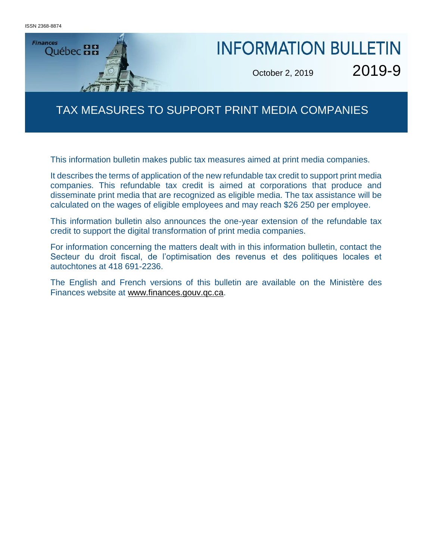ISSN 2368-8874



# **INFORMATION BULLETIN**

er 2, 2019  $2019 - 5$ October 2, 2019 2019-9

## TAX MEASURES TO SUPPORT PRINT MEDIA COMPANIES

This information bulletin makes public tax measures aimed at print media companies.

It describes the terms of application of the new refundable tax credit to support print media companies. This refundable tax credit is aimed at corporations that produce and disseminate print media that are recognized as eligible media. The tax assistance will be calculated on the wages of eligible employees and may reach \$26 250 per employee.

This information bulletin also announces the one-year extension of the refundable tax credit to support the digital transformation of print media companies.

For information concerning the matters dealt with in this information bulletin, contact the Secteur du droit fiscal, de l'optimisation des revenus et des politiques locales et autochtones at 418 691-2236.

The English and French versions of this bulletin are available on the Ministère des Finances website at [www.finances.gouv.qc.ca.](http://www.finances.gouv.qc.ca/)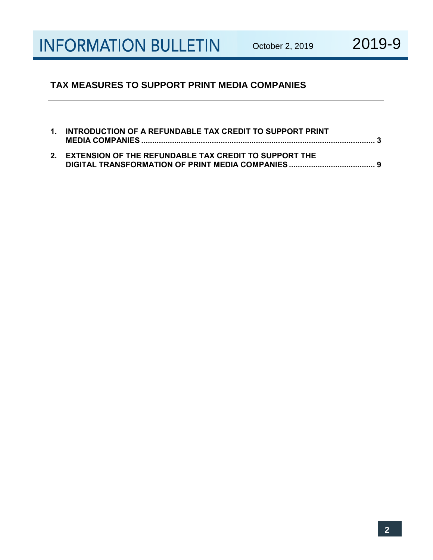#### **TAX MEASURES TO SUPPORT PRINT MEDIA COMPANIES**

| 1. INTRODUCTION OF A REFUNDABLE TAX CREDIT TO SUPPORT PRINT |
|-------------------------------------------------------------|
| 2. EXTENSION OF THE REFUNDABLE TAX CREDIT TO SUPPORT THE    |

**DIGITAL TRANSFORMATION OF PRINT MEDIA COMPANIES....................................... 9**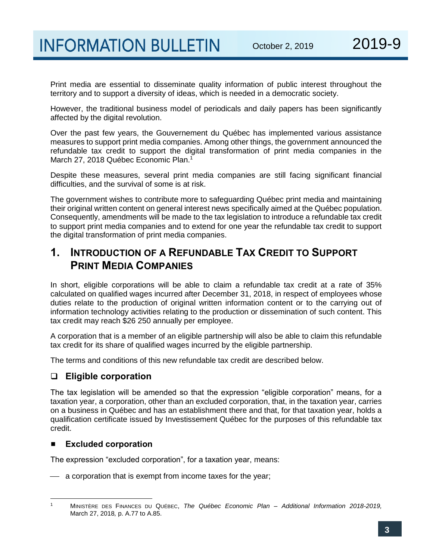Print media are essential to disseminate quality information of public interest throughout the territory and to support a diversity of ideas, which is needed in a democratic society.

However, the traditional business model of periodicals and daily papers has been significantly affected by the digital revolution.

Over the past few years, the Gouvernement du Québec has implemented various assistance measures to support print media companies. Among other things, the government announced the refundable tax credit to support the digital transformation of print media companies in the March 27, 2018 Québec Economic Plan.<sup>1</sup>

Despite these measures, several print media companies are still facing significant financial difficulties, and the survival of some is at risk.

The government wishes to contribute more to safeguarding Québec print media and maintaining their original written content on general interest news specifically aimed at the Québec population. Consequently, amendments will be made to the tax legislation to introduce a refundable tax credit to support print media companies and to extend for one year the refundable tax credit to support the digital transformation of print media companies.

## **1. INTRODUCTION OF A REFUNDABLE TAX CREDIT TO SUPPORT PRINT MEDIA COMPANIES**

In short, eligible corporations will be able to claim a refundable tax credit at a rate of 35% calculated on qualified wages incurred after December 31, 2018, in respect of employees whose duties relate to the production of original written information content or to the carrying out of information technology activities relating to the production or dissemination of such content. This tax credit may reach \$26 250 annually per employee.

A corporation that is a member of an eligible partnership will also be able to claim this refundable tax credit for its share of qualified wages incurred by the eligible partnership.

The terms and conditions of this new refundable tax credit are described below.

#### ❑ **Eligible corporation**

The tax legislation will be amended so that the expression "eligible corporation" means, for a taxation year, a corporation, other than an excluded corporation, that, in the taxation year, carries on a business in Québec and has an establishment there and that, for that taxation year, holds a qualification certificate issued by Investissement Québec for the purposes of this refundable tax credit.

#### **Excluded corporation**

The expression "excluded corporation", for a taxation year, means:

 $-$  a corporation that is exempt from income taxes for the year;

l <sup>1</sup> MINISTÈRE DES FINANCES DU QUÉBEC, *The Québec Economic Plan – Additional Information 2018-2019,*  March 27, 2018*,* p. A.77 to A.85.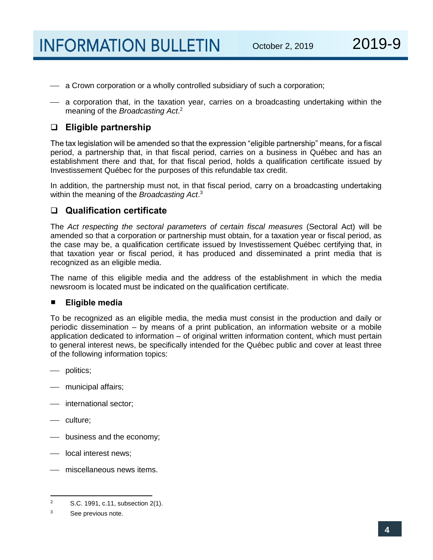- $\equiv$  a Crown corporation or a wholly controlled subsidiary of such a corporation;
- a corporation that, in the taxation year, carries on a broadcasting undertaking within the meaning of the *Broadcasting Act*. 2

#### ❑ **Eligible partnership**

The tax legislation will be amended so that the expression "eligible partnership" means, for a fiscal period, a partnership that, in that fiscal period, carries on a business in Québec and has an establishment there and that, for that fiscal period, holds a qualification certificate issued by Investissement Québec for the purposes of this refundable tax credit.

In addition, the partnership must not, in that fiscal period, carry on a broadcasting undertaking within the meaning of the *Broadcasting Act*. 3

#### ❑ **Qualification certificate**

The *Act respecting the sectoral parameters of certain fiscal measures* (Sectoral Act) will be amended so that a corporation or partnership must obtain, for a taxation year or fiscal period, as the case may be, a qualification certificate issued by Investissement Québec certifying that, in that taxation year or fiscal period, it has produced and disseminated a print media that is recognized as an eligible media.

The name of this eligible media and the address of the establishment in which the media newsroom is located must be indicated on the qualification certificate.

#### **Eligible media**

To be recognized as an eligible media, the media must consist in the production and daily or periodic dissemination – by means of a print publication, an information website or a mobile application dedicated to information – of original written information content, which must pertain to general interest news, be specifically intended for the Québec public and cover at least three of the following information topics:

- politics;
- ⎯ municipal affairs;
- ⎯ international sector;
- culture;
- ⎯ business and the economy;
- local interest news:
- ⎯ miscellaneous news items.

 $\overline{2}$ S.C. 1991, c.11, subsection 2(1).

<sup>3</sup> See previous note.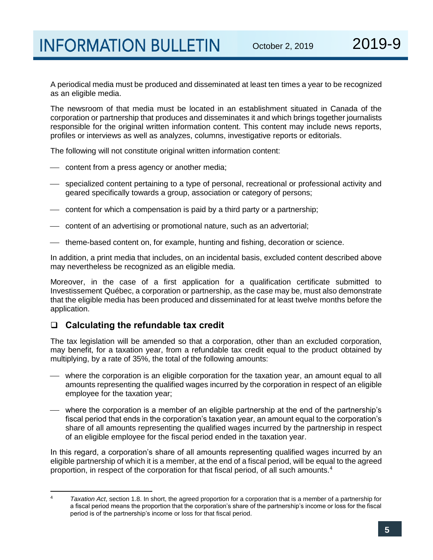A periodical media must be produced and disseminated at least ten times a year to be recognized as an eligible media.

The newsroom of that media must be located in an establishment situated in Canada of the corporation or partnership that produces and disseminates it and which brings together journalists responsible for the original written information content. This content may include news reports, profiles or interviews as well as analyzes, columns, investigative reports or editorials.

The following will not constitute original written information content:

- content from a press agency or another media;
- specialized content pertaining to a type of personal, recreational or professional activity and geared specifically towards a group, association or category of persons;
- content for which a compensation is paid by a third party or a partnership;
- ⎯ content of an advertising or promotional nature, such as an advertorial;
- ⎯ theme-based content on, for example, hunting and fishing, decoration or science.

In addition, a print media that includes, on an incidental basis, excluded content described above may nevertheless be recognized as an eligible media.

Moreover, in the case of a first application for a qualification certificate submitted to Investissement Québec, a corporation or partnership, as the case may be, must also demonstrate that the eligible media has been produced and disseminated for at least twelve months before the application.

#### ❑ **Calculating the refundable tax credit**

The tax legislation will be amended so that a corporation, other than an excluded corporation, may benefit, for a taxation year, from a refundable tax credit equal to the product obtained by multiplying, by a rate of 35%, the total of the following amounts:

- where the corporation is an eligible corporation for the taxation year, an amount equal to all amounts representing the qualified wages incurred by the corporation in respect of an eligible employee for the taxation year;
- ⎯ where the corporation is a member of an eligible partnership at the end of the partnership's fiscal period that ends in the corporation's taxation year, an amount equal to the corporation's share of all amounts representing the qualified wages incurred by the partnership in respect of an eligible employee for the fiscal period ended in the taxation year.

In this regard, a corporation's share of all amounts representing qualified wages incurred by an eligible partnership of which it is a member, at the end of a fiscal period, will be equal to the agreed proportion, in respect of the corporation for that fiscal period, of all such amounts.<sup>4</sup>

l

<sup>4</sup> *Taxation Act*, section 1.8. In short, the agreed proportion for a corporation that is a member of a partnership for a fiscal period means the proportion that the corporation's share of the partnership's income or loss for the fiscal period is of the partnership's income or loss for that fiscal period.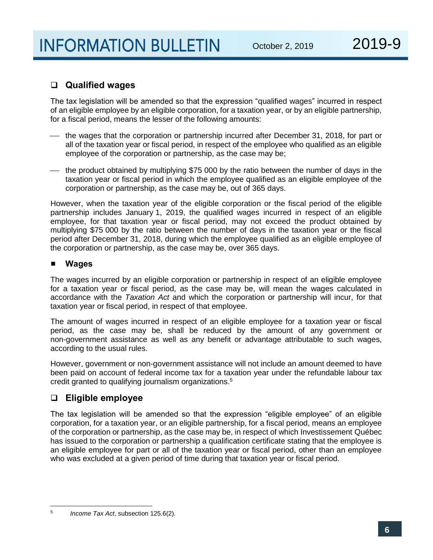#### ❑ **Qualified wages**

The tax legislation will be amended so that the expression "qualified wages" incurred in respect of an eligible employee by an eligible corporation, for a taxation year, or by an eligible partnership, for a fiscal period, means the lesser of the following amounts:

- ⎯ the wages that the corporation or partnership incurred after December 31, 2018, for part or all of the taxation year or fiscal period, in respect of the employee who qualified as an eligible employee of the corporation or partnership, as the case may be;
- $-$  the product obtained by multiplying \$75 000 by the ratio between the number of days in the taxation year or fiscal period in which the employee qualified as an eligible employee of the corporation or partnership, as the case may be, out of 365 days.

However, when the taxation year of the eligible corporation or the fiscal period of the eligible partnership includes January 1, 2019, the qualified wages incurred in respect of an eligible employee, for that taxation year or fiscal period, may not exceed the product obtained by multiplying \$75 000 by the ratio between the number of days in the taxation year or the fiscal period after December 31, 2018, during which the employee qualified as an eligible employee of the corporation or partnership, as the case may be, over 365 days.

#### **Wages**

The wages incurred by an eligible corporation or partnership in respect of an eligible employee for a taxation year or fiscal period, as the case may be, will mean the wages calculated in accordance with the *Taxation Act* and which the corporation or partnership will incur, for that taxation year or fiscal period, in respect of that employee.

The amount of wages incurred in respect of an eligible employee for a taxation year or fiscal period, as the case may be, shall be reduced by the amount of any government or non-government assistance as well as any benefit or advantage attributable to such wages, according to the usual rules.

However, government or non-government assistance will not include an amount deemed to have been paid on account of federal income tax for a taxation year under the refundable labour tax credit granted to qualifying journalism organizations.<sup>5</sup>

#### ❑ **Eligible employee**

The tax legislation will be amended so that the expression "eligible employee" of an eligible corporation, for a taxation year, or an eligible partnership, for a fiscal period, means an employee of the corporation or partnership, as the case may be, in respect of which Investissement Québec has issued to the corporation or partnership a qualification certificate stating that the employee is an eligible employee for part or all of the taxation year or fiscal period, other than an employee who was excluded at a given period of time during that taxation year or fiscal period.

<sup>-&</sup>lt;br>5 *Income Tax Act*, subsection 125.6(2).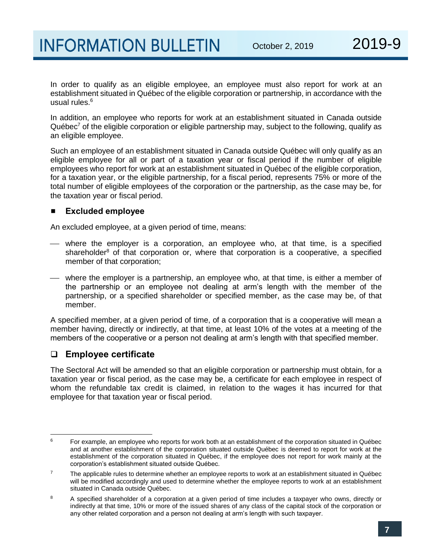In order to qualify as an eligible employee, an employee must also report for work at an establishment situated in Québec of the eligible corporation or partnership, in accordance with the usual rules.<sup>6</sup>

In addition, an employee who reports for work at an establishment situated in Canada outside Québec<sup>7</sup> of the eligible corporation or eligible partnership may, subject to the following, qualify as an eligible employee.

Such an employee of an establishment situated in Canada outside Québec will only qualify as an eligible employee for all or part of a taxation year or fiscal period if the number of eligible employees who report for work at an establishment situated in Québec of the eligible corporation, for a taxation year, or the eligible partnership, for a fiscal period, represents 75% or more of the total number of eligible employees of the corporation or the partnership, as the case may be, for the taxation year or fiscal period.

#### **Excluded employee**

An excluded employee, at a given period of time, means:

- ⎯ where the employer is a corporation, an employee who, at that time, is a specified shareholder $<sup>8</sup>$  of that corporation or, where that corporation is a cooperative, a specified</sup> member of that corporation;
- ⎯ where the employer is a partnership, an employee who, at that time, is either a member of the partnership or an employee not dealing at arm's length with the member of the partnership, or a specified shareholder or specified member, as the case may be, of that member.

A specified member, at a given period of time, of a corporation that is a cooperative will mean a member having, directly or indirectly, at that time, at least 10% of the votes at a meeting of the members of the cooperative or a person not dealing at arm's length with that specified member.

### ❑ **Employee certificate**

The Sectoral Act will be amended so that an eligible corporation or partnership must obtain, for a taxation year or fiscal period, as the case may be, a certificate for each employee in respect of whom the refundable tax credit is claimed, in relation to the wages it has incurred for that employee for that taxation year or fiscal period.

 $\mathbf{r}$ <sup>6</sup> For example, an employee who reports for work both at an establishment of the corporation situated in Québec and at another establishment of the corporation situated outside Québec is deemed to report for work at the establishment of the corporation situated in Québec, if the employee does not report for work mainly at the corporation's establishment situated outside Québec.

 $7$  The applicable rules to determine whether an employee reports to work at an establishment situated in Québec will be modified accordingly and used to determine whether the employee reports to work at an establishment situated in Canada outside Québec.

<sup>&</sup>lt;sup>8</sup> A specified shareholder of a corporation at a given period of time includes a taxpayer who owns, directly or indirectly at that time, 10% or more of the issued shares of any class of the capital stock of the corporation or any other related corporation and a person not dealing at arm's length with such taxpayer.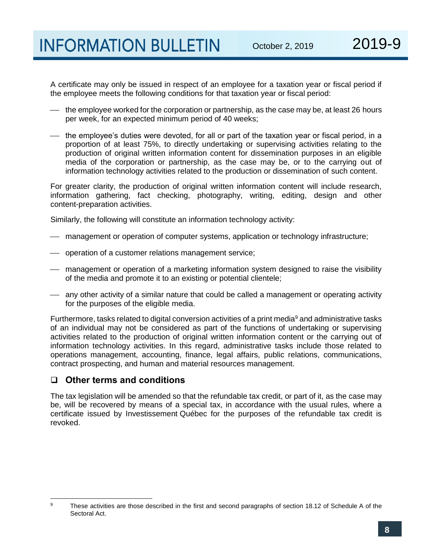A certificate may only be issued in respect of an employee for a taxation year or fiscal period if the employee meets the following conditions for that taxation year or fiscal period:

- the employee worked for the corporation or partnership, as the case may be, at least 26 hours per week, for an expected minimum period of 40 weeks;
- the employee's duties were devoted, for all or part of the taxation year or fiscal period, in a proportion of at least 75%, to directly undertaking or supervising activities relating to the production of original written information content for dissemination purposes in an eligible media of the corporation or partnership, as the case may be, or to the carrying out of information technology activities related to the production or dissemination of such content.

For greater clarity, the production of original written information content will include research, information gathering, fact checking, photography, writing, editing, design and other content-preparation activities.

Similarly, the following will constitute an information technology activity:

- management or operation of computer systems, application or technology infrastructure;
- operation of a customer relations management service;
- management or operation of a marketing information system designed to raise the visibility of the media and promote it to an existing or potential clientele;
- ⎯ any other activity of a similar nature that could be called a management or operating activity for the purposes of the eligible media.

Furthermore, tasks related to digital conversion activities of a print media<sup>9</sup> and administrative tasks of an individual may not be considered as part of the functions of undertaking or supervising activities related to the production of original written information content or the carrying out of information technology activities. In this regard, administrative tasks include those related to operations management, accounting, finance, legal affairs, public relations, communications, contract prospecting, and human and material resources management.

#### ❑ **Other terms and conditions**

The tax legislation will be amended so that the refundable tax credit, or part of it, as the case may be, will be recovered by means of a special tax, in accordance with the usual rules, where a certificate issued by Investissement Québec for the purposes of the refundable tax credit is revoked.

<sup>9</sup> These activities are those described in the first and second paragraphs of section 18.12 of Schedule A of the Sectoral Act.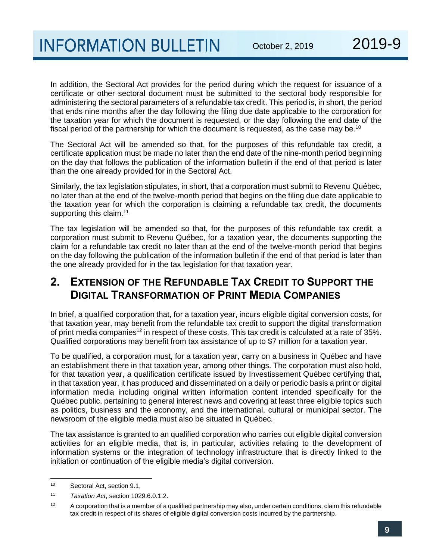In addition, the Sectoral Act provides for the period during which the request for issuance of a certificate or other sectoral document must be submitted to the sectoral body responsible for administering the sectoral parameters of a refundable tax credit. This period is, in short, the period that ends nine months after the day following the filing due date applicable to the corporation for the taxation year for which the document is requested, or the day following the end date of the fiscal period of the partnership for which the document is requested, as the case may be.<sup>10</sup>

The Sectoral Act will be amended so that, for the purposes of this refundable tax credit, a certificate application must be made no later than the end date of the nine-month period beginning on the day that follows the publication of the information bulletin if the end of that period is later than the one already provided for in the Sectoral Act.

Similarly, the tax legislation stipulates, in short, that a corporation must submit to Revenu Québec, no later than at the end of the twelve-month period that begins on the filing due date applicable to the taxation year for which the corporation is claiming a refundable tax credit, the documents supporting this claim.<sup>11</sup>

The tax legislation will be amended so that, for the purposes of this refundable tax credit, a corporation must submit to Revenu Québec, for a taxation year, the documents supporting the claim for a refundable tax credit no later than at the end of the twelve-month period that begins on the day following the publication of the information bulletin if the end of that period is later than the one already provided for in the tax legislation for that taxation year.

## **2. EXTENSION OF THE REFUNDABLE TAX CREDIT TO SUPPORT THE DIGITAL TRANSFORMATION OF PRINT MEDIA COMPANIES**

In brief, a qualified corporation that, for a taxation year, incurs eligible digital conversion costs, for that taxation year, may benefit from the refundable tax credit to support the digital transformation of print media companies<sup>12</sup> in respect of these costs. This tax credit is calculated at a rate of 35%. Qualified corporations may benefit from tax assistance of up to \$7 million for a taxation year.

To be qualified, a corporation must, for a taxation year, carry on a business in Québec and have an establishment there in that taxation year, among other things. The corporation must also hold, for that taxation year, a qualification certificate issued by Investissement Québec certifying that, in that taxation year, it has produced and disseminated on a daily or periodic basis a print or digital information media including original written information content intended specifically for the Québec public, pertaining to general interest news and covering at least three eligible topics such as politics, business and the economy, and the international, cultural or municipal sector. The newsroom of the eligible media must also be situated in Québec.

The tax assistance is granted to an qualified corporation who carries out eligible digital conversion activities for an eligible media, that is, in particular, activities relating to the development of information systems or the integration of technology infrastructure that is directly linked to the initiation or continuation of the eligible media's digital conversion.

 $10$ Sectoral Act, section 9.1.

<sup>11</sup> *Taxation Act*, section 1029.6.0.1.2.

 $12$  A corporation that is a member of a qualified partnership may also, under certain conditions, claim this refundable tax credit in respect of its shares of eligible digital conversion costs incurred by the partnership.